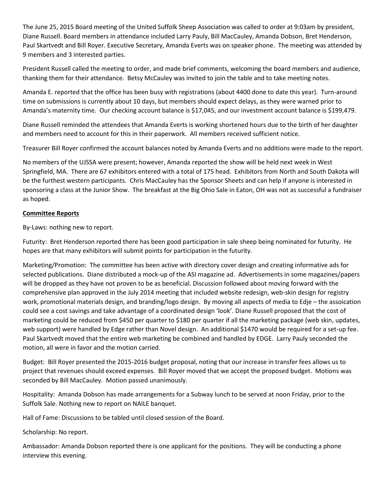The June 25, 2015 Board meeting of the United Suffolk Sheep Association was called to order at 9:03am by president, Diane Russell. Board members in attendance included Larry Pauly, Bill MacCauley, Amanda Dobson, Bret Henderson, Paul Skartvedt and Bill Royer. Executive Secretary, Amanda Everts was on speaker phone. The meeting was attended by 9 members and 3 interested parties.

President Russell called the meeting to order, and made brief comments, welcoming the board members and audience, thanking them for their attendance. Betsy McCauley was invited to join the table and to take meeting notes.

Amanda E. reported that the office has been busy with registrations (about 4400 done to date this year). Turn-around time on submissions is currently about 10 days, but members should expect delays, as they were warned prior to Amanda's maternity time. Our checking account balance is \$17,045, and our investment account balance is \$199,479.

Diane Russell reminded the attendees that Amanda Everts is working shortened hours due to the birth of her daughter and members need to account for this in their paperwork. All members received sufficient notice.

Treasurer Bill Royer confirmed the account balances noted by Amanda Everts and no additions were made to the report.

No members of the UJSSA were present; however, Amanda reported the show will be held next week in West Springfield, MA. There are 67 exhibitors entered with a total of 175 head. Exhibitors from North and South Dakota will be the furthest western participants. Chris MacCauley has the Sponsor Sheets and can help if anyone is interested in sponsoring a class at the Junior Show. The breakfast at the Big Ohio Sale in Eaton, OH was not as successful a fundraiser as hoped.

## **Committee Reports**

By-Laws: nothing new to report.

Futurity: Bret Henderson reported there has been good participation in sale sheep being nominated for futurity. He hopes are that many exhibitors will submit points for participation in the futurity.

Marketing/Promotion: The committee has been active with directory cover design and creating informative ads for selected publications. Diane distributed a mock-up of the ASI magazine ad. Advertisements in some magazines/papers will be dropped as they have not proven to be as beneficial. Discussion followed about moving forward with the comprehensive plan approved in the July 2014 meeting that included website redesign, web-skin design for registry work, promotional materials design, and branding/logo design. By moving all aspects of media to Edje – the assoication could see a cost savings and take advantage of a coordinated design 'look'. Diane Russell proposed that the cost of marketing could be reduced from \$450 per quarter to \$180 per quarter if all the marketing package (web skin, updates, web support) were handled by Edge rather than Novel design. An additional \$1470 would be required for a set-up fee. Paul Skartvedt moved that the entire web marketing be combined and handled by EDGE. Larry Pauly seconded the motion, all were in favor and the motion carried.

Budget: Bill Royer presented the 2015-2016 budget proposal, noting that our increase in transfer fees allows us to project that revenues should exceed expenses. Bill Royer moved that we accept the proposed budget. Motions was seconded by Bill MacCauley. Motion passed unanimously.

Hospitality: Amanda Dobson has made arrangements for a Subway lunch to be served at noon Friday, prior to the Suffolk Sale. Nothing new to report on NAILE banquet.

Hall of Fame: Discussions to be tabled until closed session of the Board.

Scholarship: No report.

Ambassador: Amanda Dobson reported there is one applicant for the positions. They will be conducting a phone interview this evening.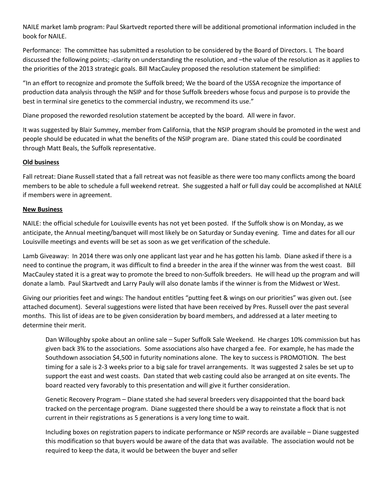NAILE market lamb program: Paul Skartvedt reported there will be additional promotional information included in the book for NAILE.

Performance: The committee has submitted a resolution to be considered by the Board of Directors. L The board discussed the following points; -clarity on understanding the resolution, and –the value of the resolution as it applies to the priorities of the 2013 strategic goals. Bill MacCauley proposed the resolution statement be simplified:

"In an effort to recognize and promote the Suffolk breed; We the board of the USSA recognize the importance of production data analysis through the NSIP and for those Suffolk breeders whose focus and purpose is to provide the best in terminal sire genetics to the commercial industry, we recommend its use."

Diane proposed the reworded resolution statement be accepted by the board. All were in favor.

It was suggested by Blair Summey, member from California, that the NSIP program should be promoted in the west and people should be educated in what the benefits of the NSIP program are. Diane stated this could be coordinated through Matt Beals, the Suffolk representative.

## **Old business**

Fall retreat: Diane Russell stated that a fall retreat was not feasible as there were too many conflicts among the board members to be able to schedule a full weekend retreat. She suggested a half or full day could be accomplished at NAILE if members were in agreement.

## **New Business**

NAILE: the official schedule for Louisville events has not yet been posted. If the Suffolk show is on Monday, as we anticipate, the Annual meeting/banquet will most likely be on Saturday or Sunday evening. Time and dates for all our Louisville meetings and events will be set as soon as we get verification of the schedule.

Lamb Giveaway: In 2014 there was only one applicant last year and he has gotten his lamb. Diane asked if there is a need to continue the program, it was difficult to find a breeder in the area if the winner was from the west coast. Bill MacCauley stated it is a great way to promote the breed to non-Suffolk breeders. He will head up the program and will donate a lamb. Paul Skartvedt and Larry Pauly will also donate lambs if the winner is from the Midwest or West.

Giving our priorities feet and wings: The handout entitles "putting feet & wings on our priorities" was given out. (see attached document). Several suggestions were listed that have been received by Pres. Russell over the past several months. This list of ideas are to be given consideration by board members, and addressed at a later meeting to determine their merit.

Dan Willoughby spoke about an online sale – Super Suffolk Sale Weekend. He charges 10% commission but has given back 3% to the associations. Some associations also have charged a fee. For example, he has made the Southdown association \$4,500 in futurity nominations alone. The key to success is PROMOTION. The best timing for a sale is 2-3 weeks prior to a big sale for travel arrangements. It was suggested 2 sales be set up to support the east and west coasts. Dan stated that web casting could also be arranged at on site events. The board reacted very favorably to this presentation and will give it further consideration.

Genetic Recovery Program – Diane stated she had several breeders very disappointed that the board back tracked on the percentage program. Diane suggested there should be a way to reinstate a flock that is not current in their registrations as 5 generations is a very long time to wait.

Including boxes on registration papers to indicate performance or NSIP records are available – Diane suggested this modification so that buyers would be aware of the data that was available. The association would not be required to keep the data, it would be between the buyer and seller